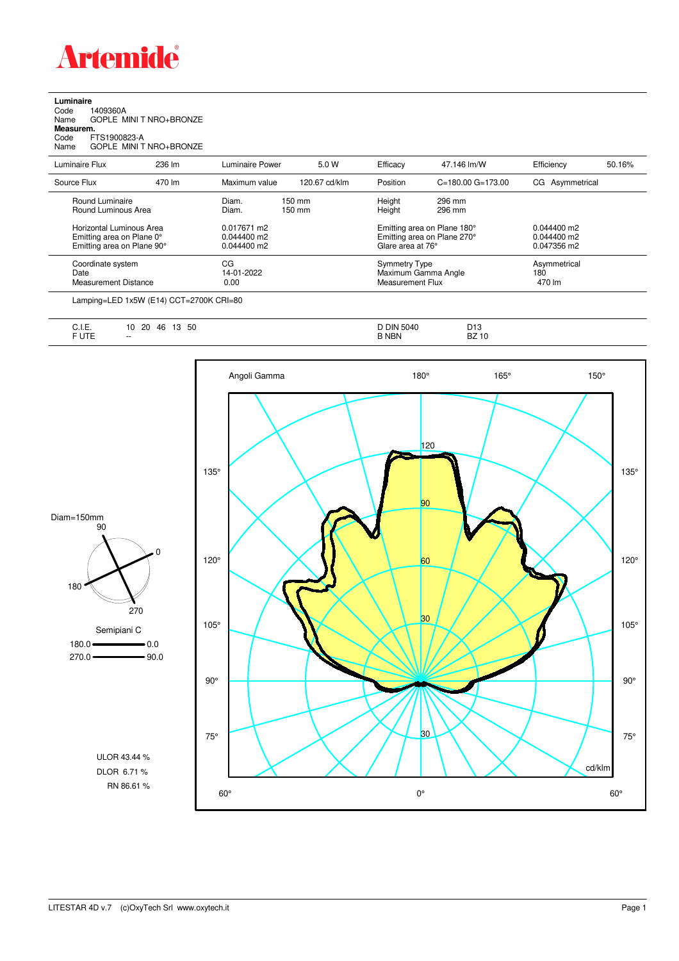

**Luminaire**<br>Code 1<br>Name ( Code 1409360A Name GOPLE MINI T NRO+BRONZE **Measurem.** Code FTS1900823-A Name GOPLE MINI T NRO+BRONZE

| Luminaire Flux                                                                                                                                                                                                                                                                                                                                                                                                                                                                             | 236 lm | Luminaire Power                             | 5.0 W            | Efficacy                                 | 47.146 lm/W                                                | Efficiency                                  | 50.16% |
|--------------------------------------------------------------------------------------------------------------------------------------------------------------------------------------------------------------------------------------------------------------------------------------------------------------------------------------------------------------------------------------------------------------------------------------------------------------------------------------------|--------|---------------------------------------------|------------------|------------------------------------------|------------------------------------------------------------|---------------------------------------------|--------|
| Source Flux                                                                                                                                                                                                                                                                                                                                                                                                                                                                                | 470 lm | Maximum value                               | 120.67 cd/klm    | Position                                 | $C = 180.00$ $G = 173.00$                                  | CG Asymmetrical                             |        |
| Round Luminaire<br>Round Luminous Area                                                                                                                                                                                                                                                                                                                                                                                                                                                     |        | Diam.<br>Diam.                              | 150 mm<br>150 mm | Height<br>Height                         | 296 mm<br>296 mm                                           |                                             |        |
| Horizontal Luminous Area<br>Emitting area on Plane 0°<br>Emitting area on Plane 90°                                                                                                                                                                                                                                                                                                                                                                                                        |        | 0.017671 m2<br>0.044400 m2<br>$0.044400$ m2 |                  | Glare area at 76°                        | Emitting area on Plane 180°<br>Emitting area on Plane 270° | $0.044400$ m2<br>0.044400 m2<br>0.047356 m2 |        |
| Coordinate system<br>Date<br>Measurement Distance                                                                                                                                                                                                                                                                                                                                                                                                                                          |        | CG<br>14-01-2022<br>0.00                    |                  | <b>Symmetry Type</b><br>Measurement Flux | Maximum Gamma Angle                                        | Asymmetrical<br>180<br>470 lm               |        |
| $\blacksquare$ $\blacksquare$ $\blacksquare$ $\blacksquare$ $\blacksquare$ $\blacksquare$ $\blacksquare$ $\blacksquare$ $\blacksquare$ $\blacksquare$ $\blacksquare$ $\blacksquare$ $\blacksquare$ $\blacksquare$ $\blacksquare$ $\blacksquare$ $\blacksquare$ $\blacksquare$ $\blacksquare$ $\blacksquare$ $\blacksquare$ $\blacksquare$ $\blacksquare$ $\blacksquare$ $\blacksquare$ $\blacksquare$ $\blacksquare$ $\blacksquare$ $\blacksquare$ $\blacksquare$ $\blacksquare$ $\blacks$ |        |                                             |                  |                                          |                                                            |                                             |        |

Lamping=LED 1x5W (E14) CCT=2700K CRI=80